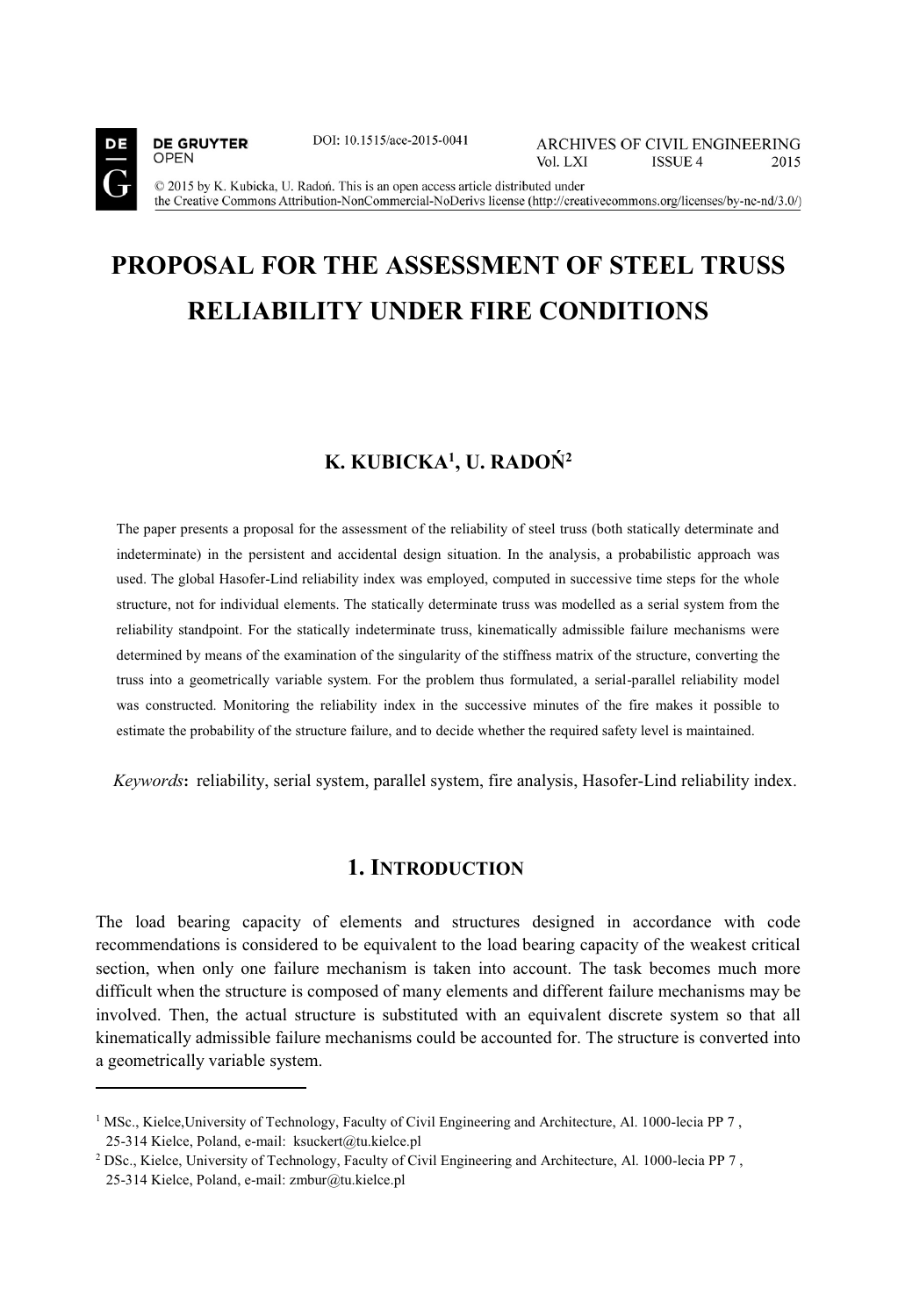

**DE GRUYTER** 

**OPEN** 

j

DOI: 10.1515/ace-2015-0041

**ARCHIVES OF CIVIL ENGINEERING** Vol. LXI **ISSUE 4** 2015

© 2015 by K. Kubicka, U. Radoń. This is an open access article distributed under the Creative Commons Attribution-NonCommercial-NoDerivs license (http://creativecommons.org/licenses/by-nc-nd/3.0/)

# **PROPOSAL FOR THE ASSESSMENT OF STEEL TRUSS RELIABILITY UNDER FIRE CONDITIONS**

# **K. KUBICKA1 , U. RADOŃ<sup>2</sup>**

The paper presents a proposal for the assessment of the reliability of steel truss (both statically determinate and indeterminate) in the persistent and accidental design situation. In the analysis, a probabilistic approach was used. The global Hasofer-Lind reliability index was employed, computed in successive time steps for the whole structure, not for individual elements. The statically determinate truss was modelled as a serial system from the reliability standpoint. For the statically indeterminate truss, kinematically admissible failure mechanisms were determined by means of the examination of the singularity of the stiffness matrix of the structure, converting the truss into a geometrically variable system. For the problem thus formulated, a serial-parallel reliability model was constructed. Monitoring the reliability index in the successive minutes of the fire makes it possible to estimate the probability of the structure failure, and to decide whether the required safety level is maintained.

 *Keywords***:** reliability, serial system, parallel system, fire analysis, Hasofer-Lind reliability index.

# **1. INTRODUCTION**

The load bearing capacity of elements and structures designed in accordance with code recommendations is considered to be equivalent to the load bearing capacity of the weakest critical section, when only one failure mechanism is taken into account. The task becomes much more difficult when the structure is composed of many elements and different failure mechanisms may be involved. Then, the actual structure is substituted with an equivalent discrete system so that all kinematically admissible failure mechanisms could be accounted for. The structure is converted into a geometrically variable system.

<sup>&</sup>lt;sup>1</sup> MSc., Kielce, University of Technology, Faculty of Civil Engineering and Architecture, Al. 1000-lecia PP 7, 25-314 Kielce, Poland, e-mail: ksuckert@tu.kielce.pl

<sup>&</sup>lt;sup>2</sup> DSc., Kielce, University of Technology, Faculty of Civil Engineering and Architecture, Al. 1000-lecia PP 7, 25-314 Kielce, Poland, e-mail: zmbur@tu.kielce.pl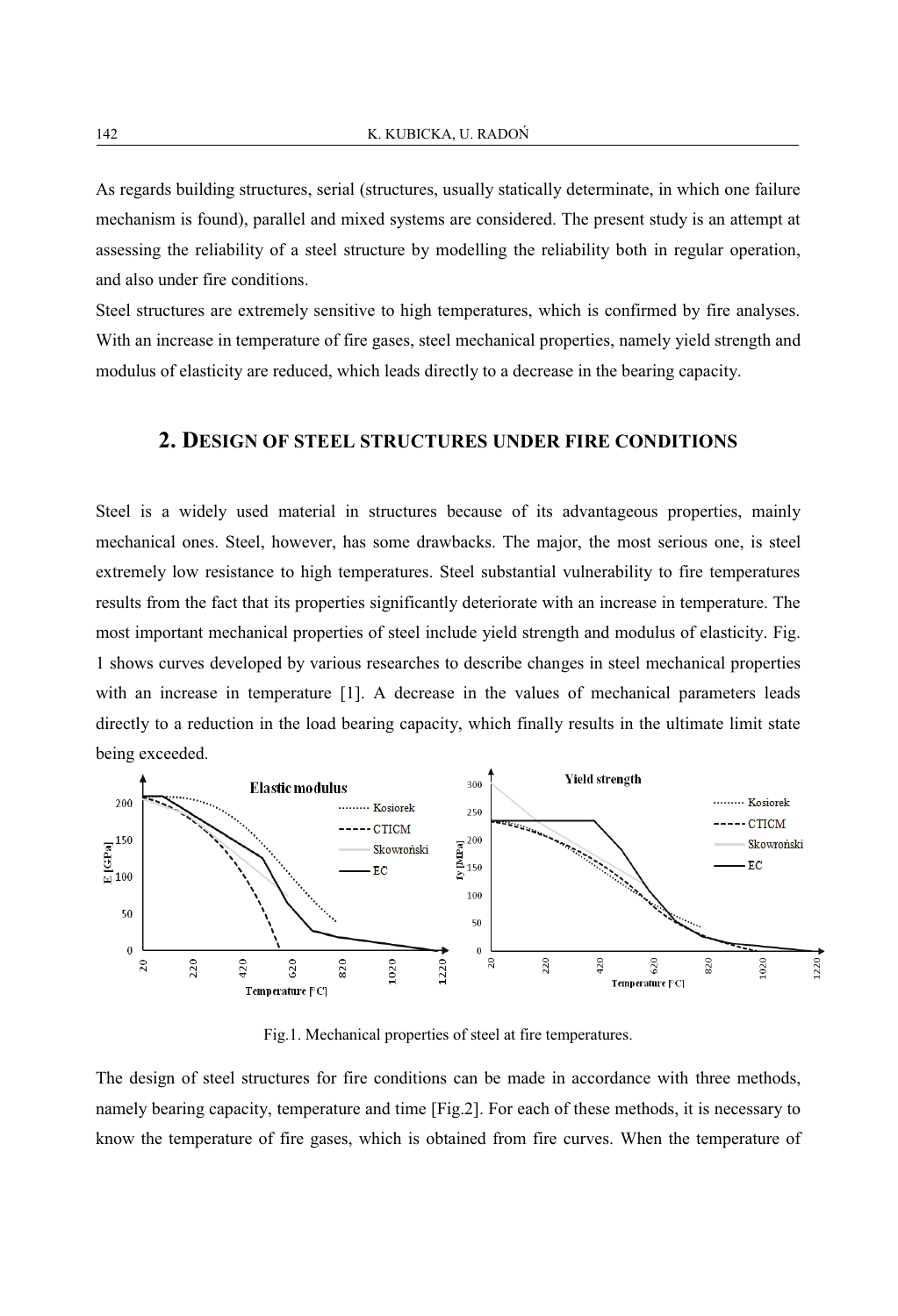As regards building structures, serial (structures, usually statically determinate, in which one failure mechanism is found), parallel and mixed systems are considered. The present study is an attempt at assessing the reliability of a steel structure by modelling the reliability both in regular operation, and also under fire conditions.

Steel structures are extremely sensitive to high temperatures, which is confirmed by fire analyses. With an increase in temperature of fire gases, steel mechanical properties, namely yield strength and modulus of elasticity are reduced, which leads directly to a decrease in the bearing capacity.

## **2. DESIGN OF STEEL STRUCTURES UNDER FIRE CONDITIONS**

Steel is a widely used material in structures because of its advantageous properties, mainly mechanical ones. Steel, however, has some drawbacks. The major, the most serious one, is steel extremely low resistance to high temperatures. Steel substantial vulnerability to fire temperatures results from the fact that its properties significantly deteriorate with an increase in temperature. The most important mechanical properties of steel include yield strength and modulus of elasticity. Fig. 1 shows curves developed by various researches to describe changes in steel mechanical properties with an increase in temperature [1]. A decrease in the values of mechanical parameters leads directly to a reduction in the load bearing capacity, which finally results in the ultimate limit state being exceeded.



Fig.1. Mechanical properties of steel at fire temperatures.

The design of steel structures for fire conditions can be made in accordance with three methods, namely bearing capacity, temperature and time [Fig.2]. For each of these methods, it is necessary to know the temperature of fire gases, which is obtained from fire curves. When the temperature of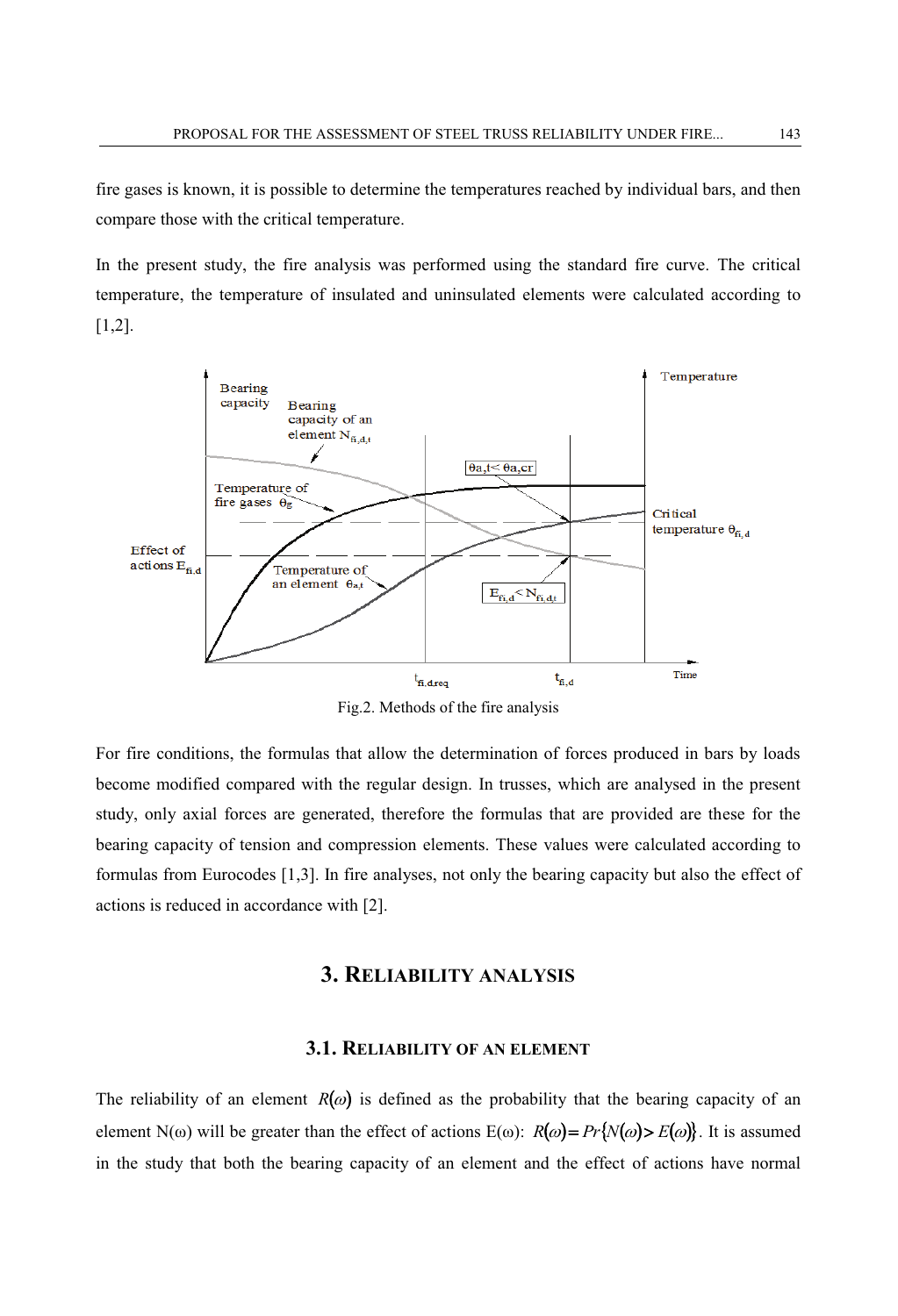fire gases is known, it is possible to determine the temperatures reached by individual bars, and then compare those with the critical temperature.

In the present study, the fire analysis was performed using the standard fire curve. The critical temperature, the temperature of insulated and uninsulated elements were calculated according to [1,2].



Fig.2. Methods of the fire analysis

For fire conditions, the formulas that allow the determination of forces produced in bars by loads become modified compared with the regular design. In trusses, which are analysed in the present study, only axial forces are generated, therefore the formulas that are provided are these for the bearing capacity of tension and compression elements. These values were calculated according to formulas from Eurocodes [1,3]. In fire analyses, not only the bearing capacity but also the effect of actions is reduced in accordance with [2].

# **3. RELIABILITY ANALYSIS**

#### **3.1. RELIABILITY OF AN ELEMENT**

The reliability of an element  $R(\omega)$  is defined as the probability that the bearing capacity of an element N(ω) will be greater than the effect of actions E(ω):  $R(\omega) = Pr\{N(\omega) > E(\omega)\}\.$  It is assumed in the study that both the bearing capacity of an element and the effect of actions have normal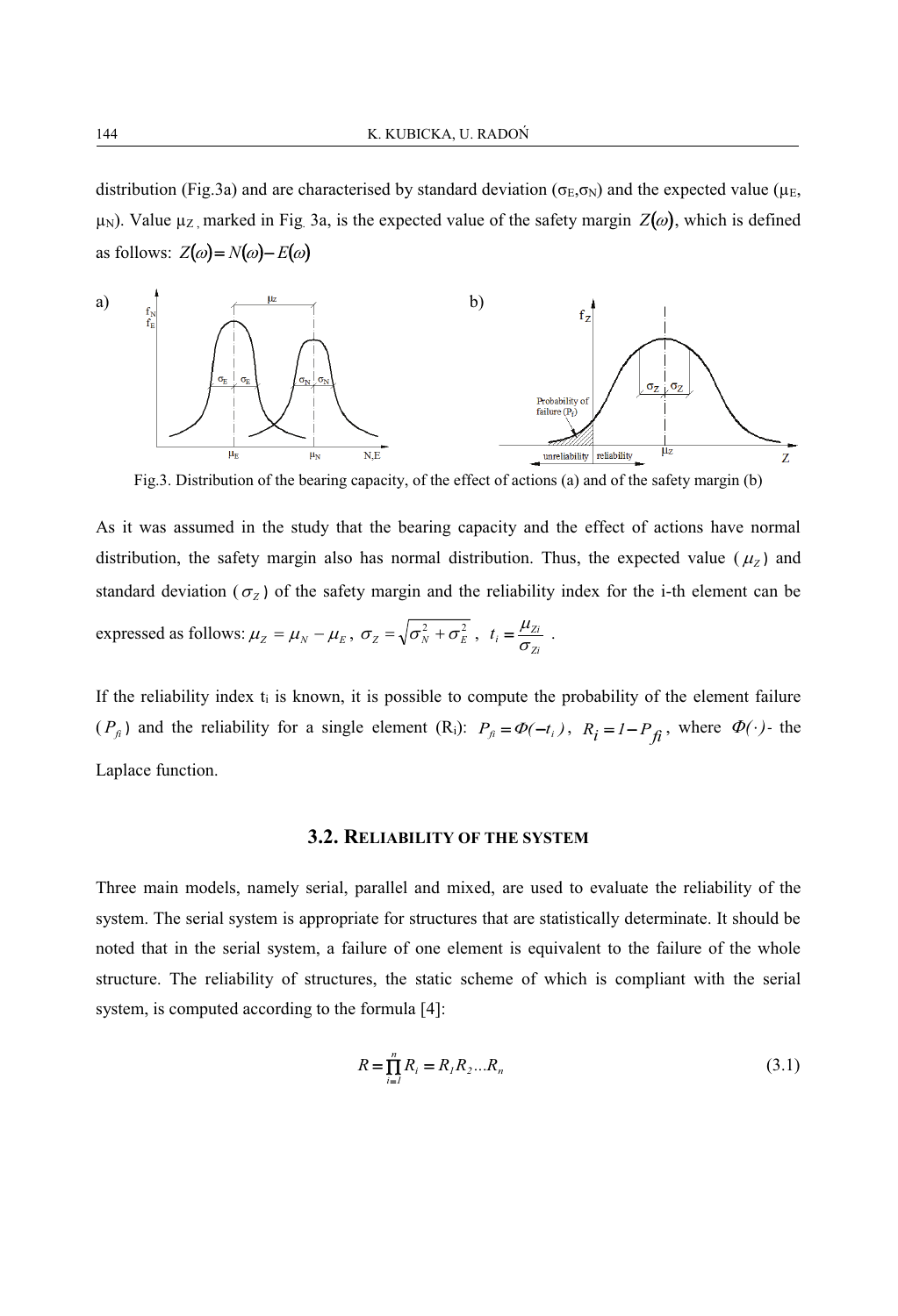distribution (Fig.3a) and are characterised by standard deviation ( $\sigma_{E, \sigma_N}$ ) and the expected value ( $\mu_E$ , μ<sub>N</sub>). Value μz, marked in Fig. 3a, is the expected value of the safety margin  $Z(\omega)$ , which is defined as follows:  $Z(\omega) = N(\omega) - E(\omega)$ 



Fig.3. Distribution of the bearing capacity, of the effect of actions (a) and of the safety margin (b)

As it was assumed in the study that the bearing capacity and the effect of actions have normal distribution, the safety margin also has normal distribution. Thus, the expected value ( $\mu$ <sub>Z</sub>) and standard deviation ( $\sigma$ <sub>Z</sub>) of the safety margin and the reliability index for the i-th element can be expressed as follows:  $\mu_Z = \mu_N - \mu_E$ ,  $\sigma_Z = \sqrt{\sigma_N^2 + \sigma_E^2}$ ,  $t_i = \frac{\mu_{Zi}}{\sigma_{Zi}}$  $t_i = \frac{\mu_{Zi}}{\sigma_{Zi}}$ .

If the reliability index  $t_i$  is known, it is possible to compute the probability of the element failure  $(P_f)$  and the reliability for a single element  $(R_i)$ :  $P_f = \Phi(-t_i)$ ,  $R_i = I - P_f$ , where  $\Phi(\cdot)$ - the Laplace function.

#### **3.2. RELIABILITY OF THE SYSTEM**

Three main models, namely serial, parallel and mixed, are used to evaluate the reliability of the system. The serial system is appropriate for structures that are statistically determinate. It should be noted that in the serial system, a failure of one element is equivalent to the failure of the whole structure. The reliability of structures, the static scheme of which is compliant with the serial system, is computed according to the formula [4]:

$$
R = \prod_{i=1}^{n} R_i = R_1 R_2 ... R_n
$$
\n(3.1)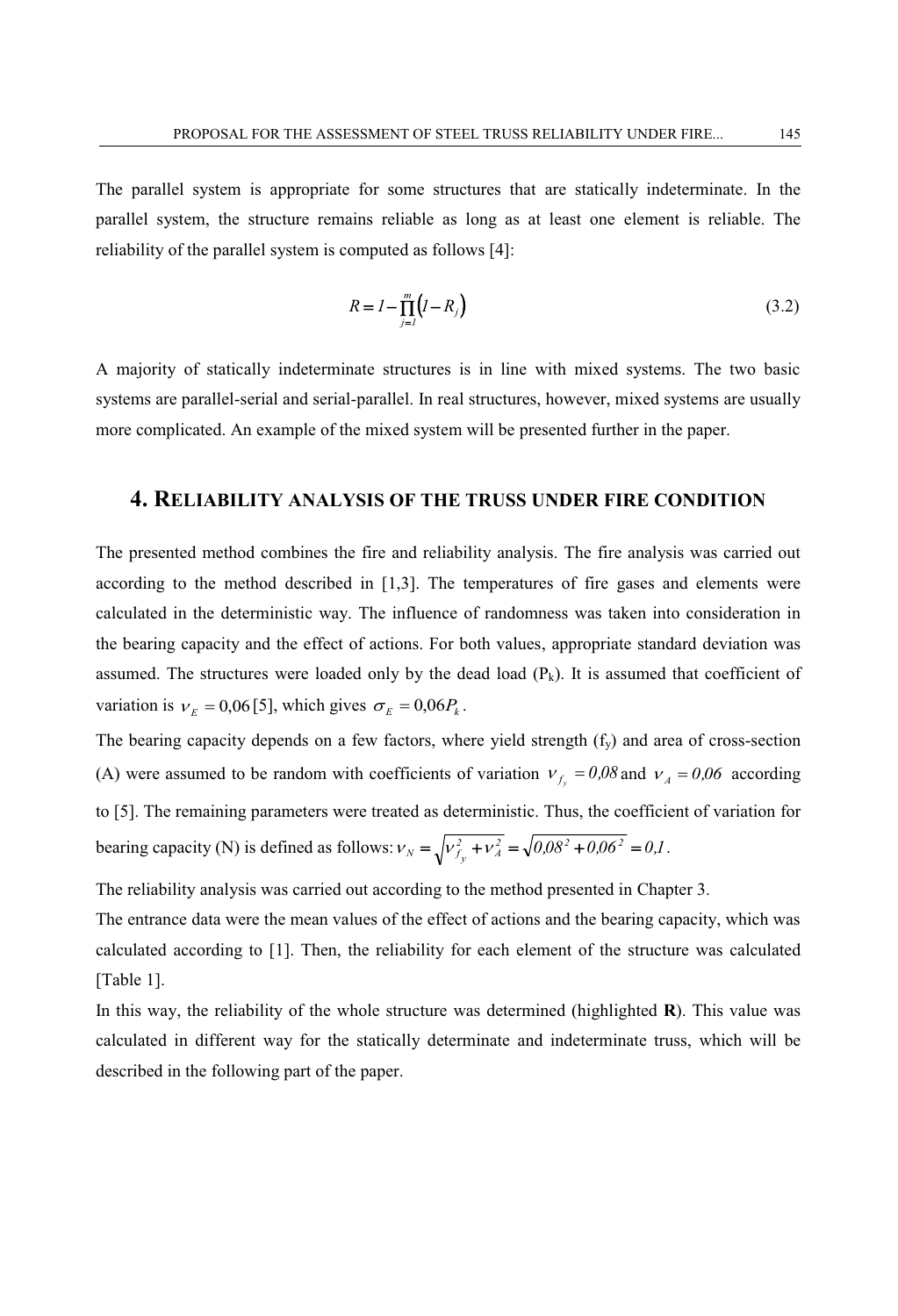The parallel system is appropriate for some structures that are statically indeterminate. In the parallel system, the structure remains reliable as long as at least one element is reliable. The reliability of the parallel system is computed as follows [4]:

$$
R = I - \prod_{j=1}^{m} (I - R_j)
$$
\n(3.2)

A majority of statically indeterminate structures is in line with mixed systems. The two basic systems are parallel-serial and serial-parallel. In real structures, however, mixed systems are usually more complicated. An example of the mixed system will be presented further in the paper.

## **4. RELIABILITY ANALYSIS OF THE TRUSS UNDER FIRE CONDITION**

The presented method combines the fire and reliability analysis. The fire analysis was carried out according to the method described in [1,3]. The temperatures of fire gases and elements were calculated in the deterministic way. The influence of randomness was taken into consideration in the bearing capacity and the effect of actions. For both values, appropriate standard deviation was assumed. The structures were loaded only by the dead load  $(P_k)$ . It is assumed that coefficient of variation is  $v_E = 0.06$  [5], which gives  $\sigma_E = 0.06 P_k$ .

The bearing capacity depends on a few factors, where yield strength  $(f_y)$  and area of cross-section (A) were assumed to be random with coefficients of variation  $v_f = 0.08$  and  $v_A = 0.06$  according to [5]. The remaining parameters were treated as deterministic. Thus, the coefficient of variation for bearing capacity (N) is defined as follows:  $v_N = \sqrt{v_{f_V}^2 + v_A^2} = \sqrt{0.08^2 + 0.06^2} = 0.1$ .

The reliability analysis was carried out according to the method presented in Chapter 3.

The entrance data were the mean values of the effect of actions and the bearing capacity, which was calculated according to [1]. Then, the reliability for each element of the structure was calculated [Table 1].

In this way, the reliability of the whole structure was determined (highlighted **R**). This value was calculated in different way for the statically determinate and indeterminate truss, which will be described in the following part of the paper.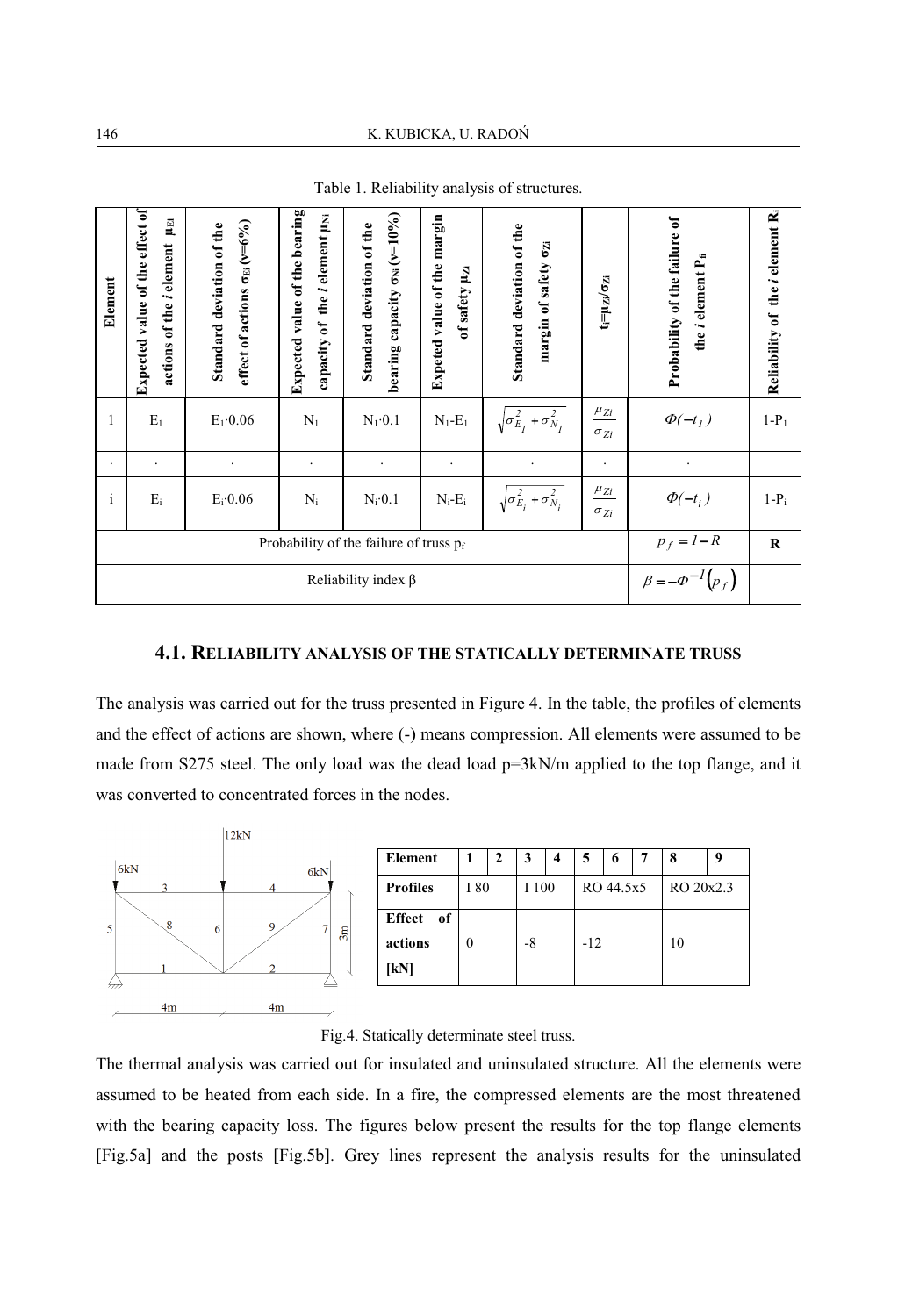| Element                                                    | Expected value of the effect of<br>ЦË<br>actions of the <i>i</i> element | effect of actions $\sigma_{\rm Ei}(\nu=6\%$<br>Standard deviation of the | Expected value of the bearing<br>capacity of the <i>i</i> element µNi | bearing capacity $\sigma_{\text{Ni}}$ (v=10%)<br>Standard deviation of the | Expeted value of the margin<br>$\mathbf{H}$<br>of safety | Standard deviation of the<br>margin of safety $\sigma_{Zi}$ | $t_i = \mu_{Zi}/\sigma_{Zi}$   | Probability of the failure of<br>the <i>i</i> element P <sub>fi</sub> | Reliability of the <i>i</i> element R |
|------------------------------------------------------------|--------------------------------------------------------------------------|--------------------------------------------------------------------------|-----------------------------------------------------------------------|----------------------------------------------------------------------------|----------------------------------------------------------|-------------------------------------------------------------|--------------------------------|-----------------------------------------------------------------------|---------------------------------------|
| 1                                                          | $E_1$                                                                    | $E_1 \cdot 0.06$                                                         | $N_1$                                                                 | $N_1 \cdot 0.1$                                                            | $N_1-E_1$                                                | $\sqrt{\sigma_{E_I}^2 + \sigma_{N_I}^2}$                    | $\frac{\mu_{Zi}}{\sigma_{Zi}}$ | $\Phi(-t_1)$                                                          | $1-P_1$                               |
|                                                            | $\bullet$                                                                | $\cdot$                                                                  | ٠                                                                     | $\ddot{\phantom{0}}$                                                       | $\cdot$                                                  |                                                             | $\cdot$                        | $\cdot$                                                               |                                       |
| $\mathbf{i}$                                               | $E_i$<br>$E_i \cdot 0.06$                                                |                                                                          | $N_i$                                                                 | $N_i \cdot 0.1$                                                            | $N_i-E_i$                                                | $\sqrt{\sigma_{E_i}^2 + \sigma_{N_i}^2}$                    | $\frac{\mu_{Zi}}{\sigma_{Zi}}$ | $\Phi(-t_i)$                                                          | $1-P_i$                               |
| $p_f = l - R$<br>Probability of the failure of truss $p_f$ |                                                                          |                                                                          |                                                                       |                                                                            |                                                          |                                                             | ${\bf R}$                      |                                                                       |                                       |
| Reliability index $\beta$                                  |                                                                          |                                                                          |                                                                       |                                                                            |                                                          |                                                             | $\beta = -\phi^{-1}(\rho_f)$   |                                                                       |                                       |

Table 1. Reliability analysis of structures.

#### **4.1. RELIABILITY ANALYSIS OF THE STATICALLY DETERMINATE TRUSS**

The analysis was carried out for the truss presented in Figure 4. In the table, the profiles of elements and the effect of actions are shown, where (-) means compression. All elements were assumed to be made from S275 steel. The only load was the dead load p=3kN/m applied to the top flange, and it was converted to concentrated forces in the nodes.



Fig.4. Statically determinate steel truss.

The thermal analysis was carried out for insulated and uninsulated structure. All the elements were assumed to be heated from each side. In a fire, the compressed elements are the most threatened with the bearing capacity loss. The figures below present the results for the top flange elements [Fig.5a] and the posts [Fig.5b]. Grey lines represent the analysis results for the uninsulated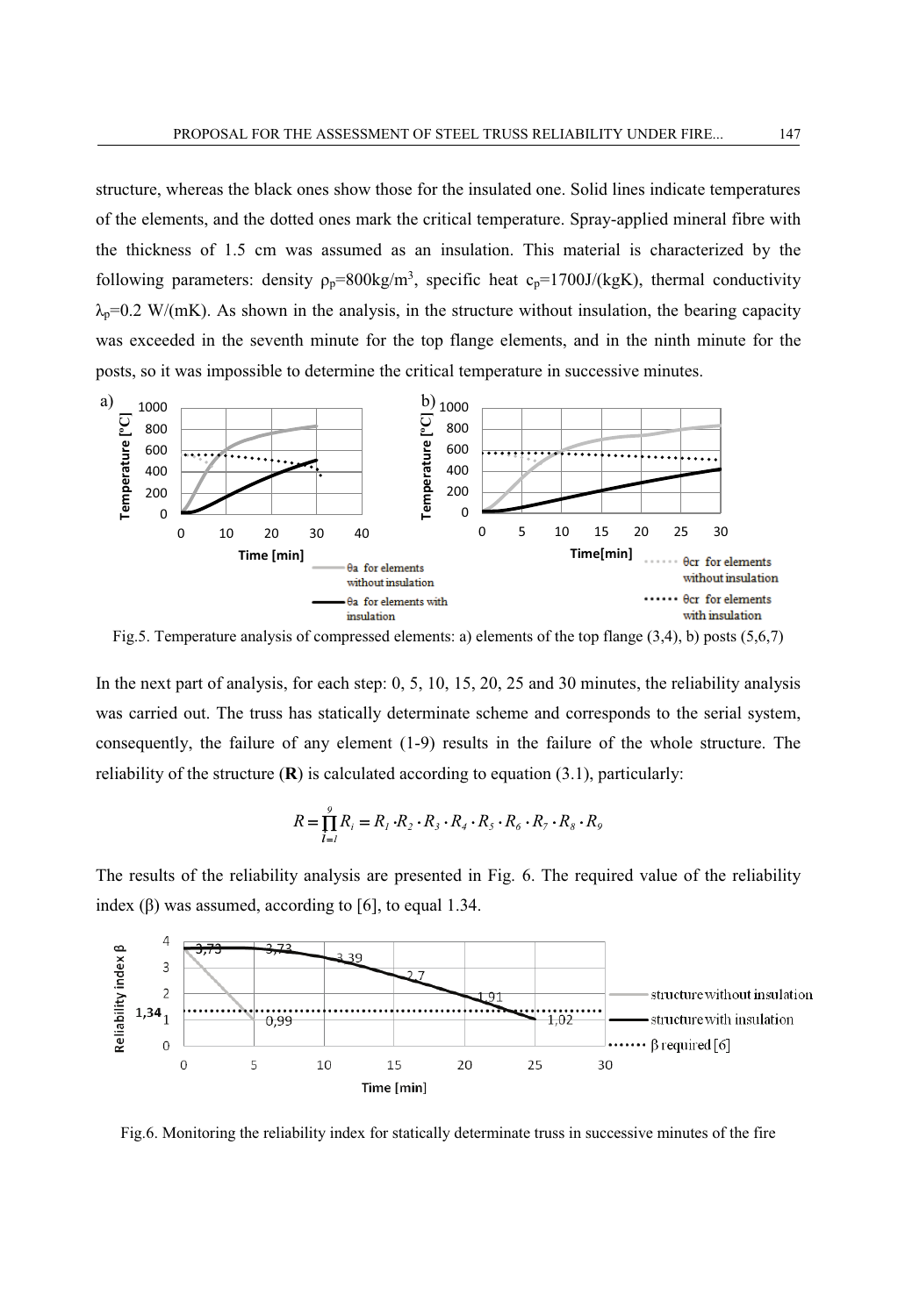structure, whereas the black ones show those for the insulated one. Solid lines indicate temperatures of the elements, and the dotted ones mark the critical temperature. Spray-applied mineral fibre with the thickness of 1.5 cm was assumed as an insulation. This material is characterized by the following parameters: density  $\rho_p = 800 \text{kg/m}^3$ , specific heat  $c_p = 1700 \text{J/(kgK)}$ , thermal conductivity  $\lambda_p=0.2$  W/(mK). As shown in the analysis, in the structure without insulation, the bearing capacity was exceeded in the seventh minute for the top flange elements, and in the ninth minute for the posts, so it was impossible to determine the critical temperature in successive minutes.



Fig.5. Temperature analysis of compressed elements: a) elements of the top flange (3,4), b) posts (5,6,7)

In the next part of analysis, for each step: 0, 5, 10, 15, 20, 25 and 30 minutes, the reliability analysis was carried out. The truss has statically determinate scheme and corresponds to the serial system, consequently, the failure of any element (1-9) results in the failure of the whole structure. The reliability of the structure  $(\mathbf{R})$  is calculated according to equation (3.1), particularly:

$$
R = \prod_{i=1}^{9} R_i = R_1 \cdot R_2 \cdot R_3 \cdot R_4 \cdot R_5 \cdot R_6 \cdot R_7 \cdot R_8 \cdot R_9
$$

The results of the reliability analysis are presented in Fig. 6. The required value of the reliability index  $(\beta)$  was assumed, according to [6], to equal 1.34.



Fig.6. Monitoring the reliability index for statically determinate truss in successive minutes of the fire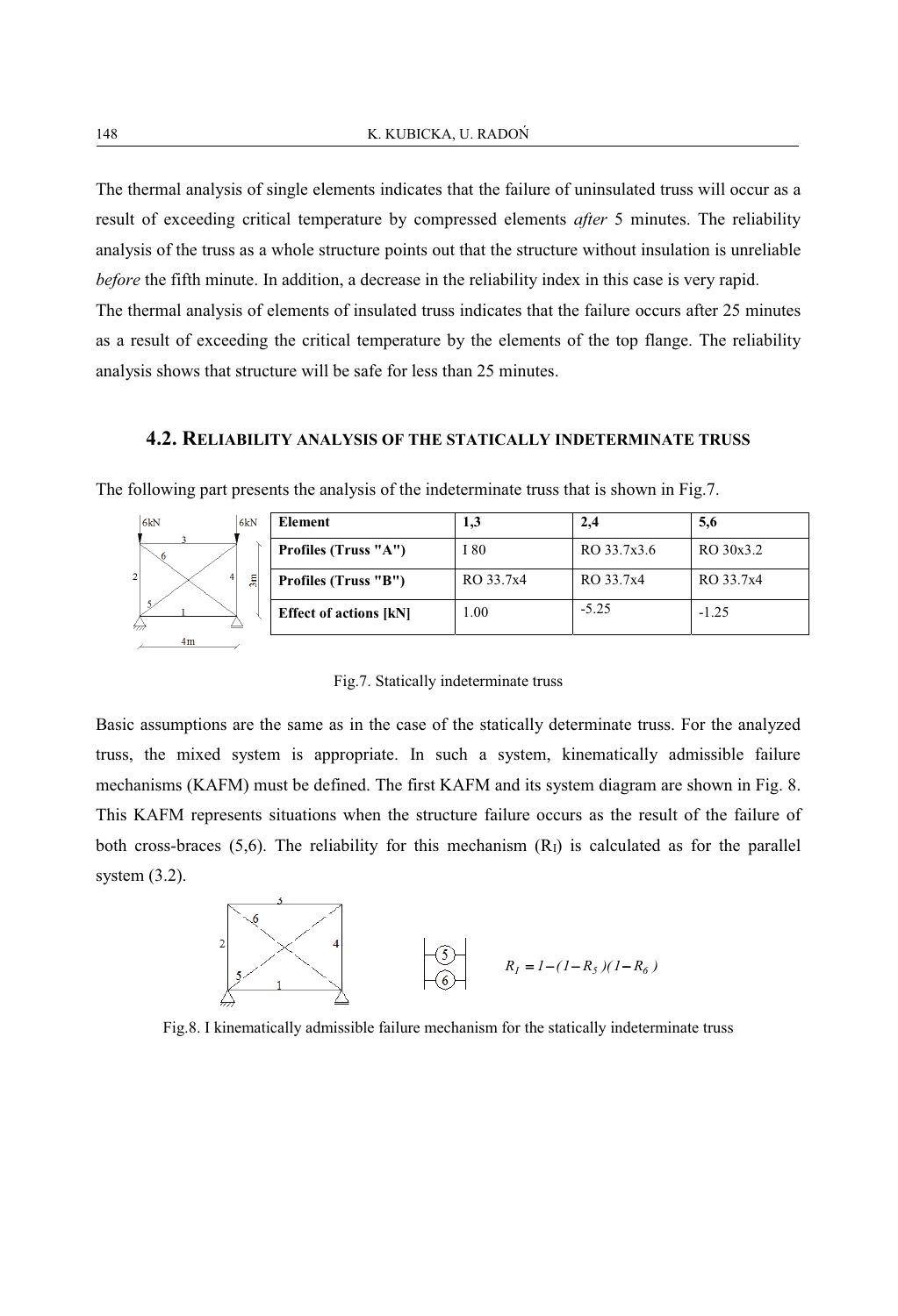The thermal analysis of single elements indicates that the failure of uninsulated truss will occur as a result of exceeding critical temperature by compressed elements *after* 5 minutes. The reliability analysis of the truss as a whole structure points out that the structure without insulation is unreliable *before* the fifth minute. In addition, a decrease in the reliability index in this case is very rapid. The thermal analysis of elements of insulated truss indicates that the failure occurs after 25 minutes as a result of exceeding the critical temperature by the elements of the top flange. The reliability analysis shows that structure will be safe for less than 25 minutes.

#### **4.2. RELIABILITY ANALYSIS OF THE STATICALLY INDETERMINATE TRUSS**

The following part presents the analysis of the indeterminate truss that is shown in Fig.7.

|     | 6kN | 6kN | Element                       | 1,3       | 2,4         | 5,6       |
|-----|-----|-----|-------------------------------|-----------|-------------|-----------|
|     |     |     | Profiles (Truss "A")          | I 80      | RO 33.7x3.6 | RO 30x3.2 |
| 21  |     | F.  | <b>Profiles (Truss "B")</b>   | RO 33.7x4 | RO 33.7x4   | RO 33.7x4 |
| יחי |     |     | <b>Effect of actions [kN]</b> | 1.00      | $-5.25$     | $-1.25$   |
|     | 4m  |     |                               |           |             |           |

#### Fig.7. Statically indeterminate truss

Basic assumptions are the same as in the case of the statically determinate truss. For the analyzed truss, the mixed system is appropriate. In such a system, kinematically admissible failure mechanisms (KAFM) must be defined. The first KAFM and its system diagram are shown in Fig. 8. This KAFM represents situations when the structure failure occurs as the result of the failure of both cross-braces (5,6). The reliability for this mechanism  $(R<sub>1</sub>)$  is calculated as for the parallel system (3.2).



Fig.8. I kinematically admissible failure mechanism for the statically indeterminate truss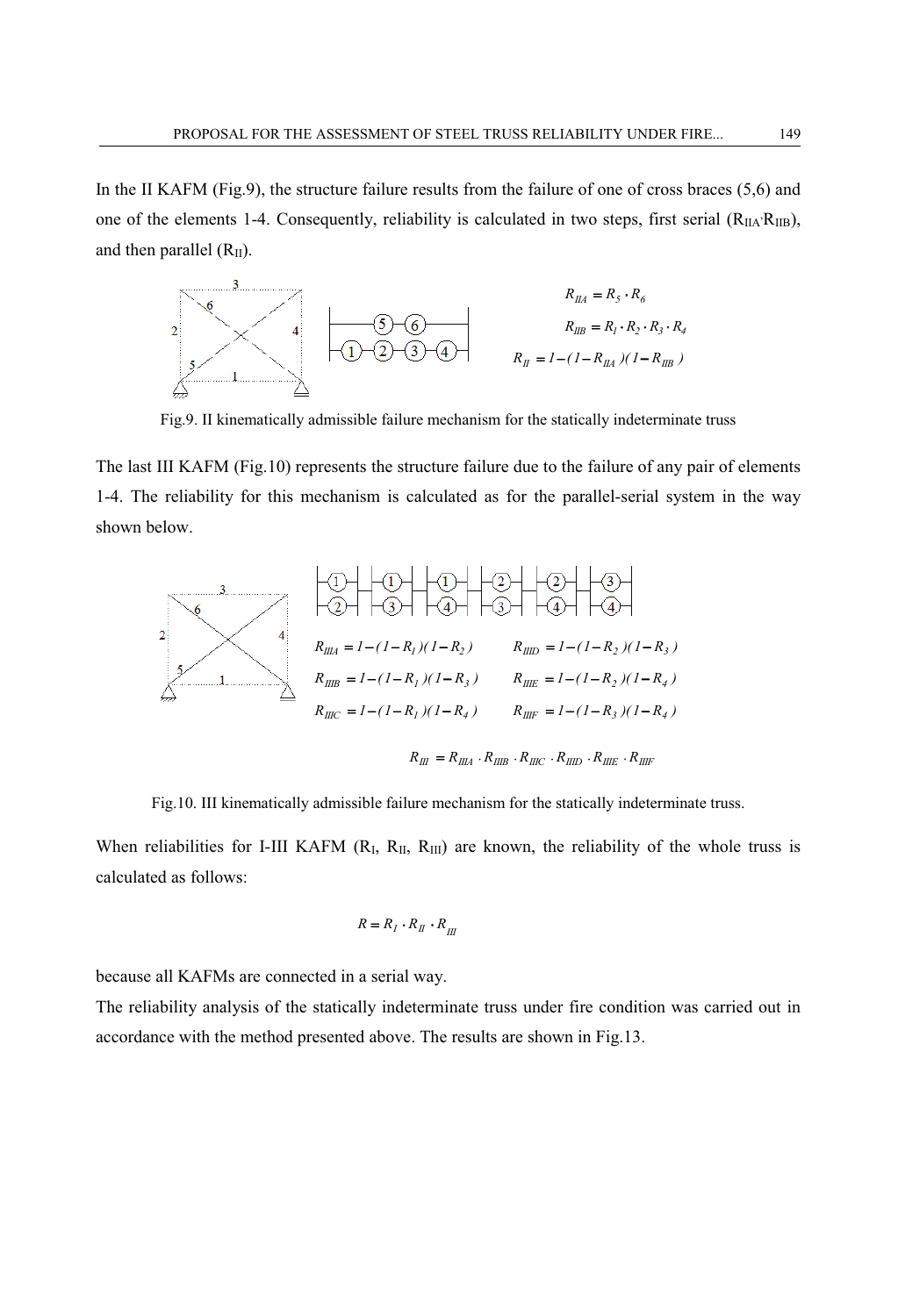In the II KAFM (Fig.9), the structure failure results from the failure of one of cross braces (5,6) and one of the elements 1-4. Consequently, reliability is calculated in two steps, first serial (RIIA'RIIB), and then parallel  $(R_{II})$ .



Fig.9. II kinematically admissible failure mechanism for the statically indeterminate truss

The last III KAFM (Fig.10) represents the structure failure due to the failure of any pair of elements 1-4. The reliability for this mechanism is calculated as for the parallel-serial system in the way shown below.



Fig.10. III kinematically admissible failure mechanism for the statically indeterminate truss.

When reliabilities for I-III KAFM ( $R_I$ ,  $R_{II}$ ,  $R_{III}$ ) are known, the reliability of the whole truss is calculated as follows:

$$
R = R_I \cdot R_{II} \cdot R_{III}
$$

because all KAFMs are connected in a serial way.

The reliability analysis of the statically indeterminate truss under fire condition was carried out in accordance with the method presented above. The results are shown in Fig.13.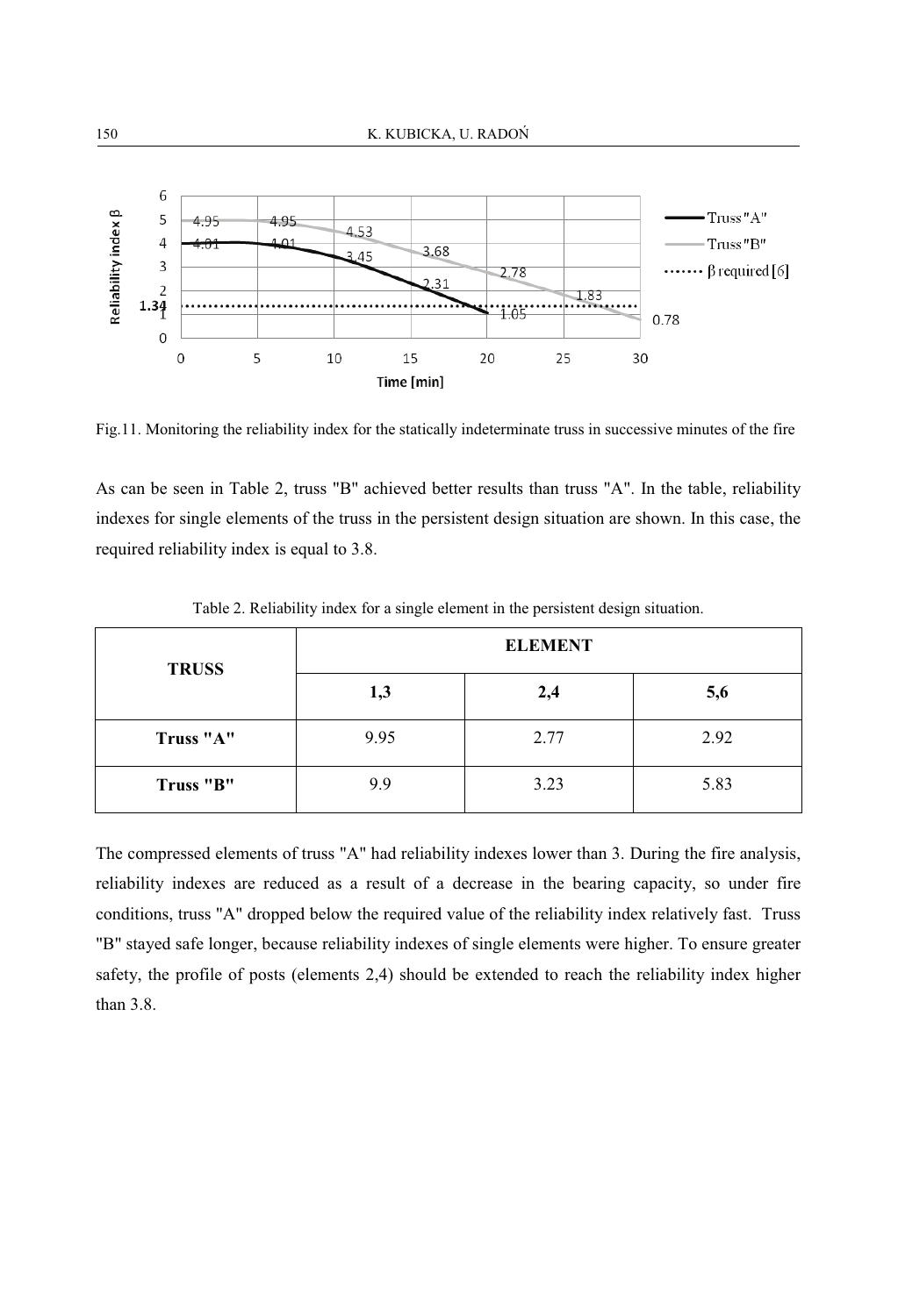

Fig.11. Monitoring the reliability index for the statically indeterminate truss in successive minutes of the fire

As can be seen in Table 2, truss "B" achieved better results than truss "A". In the table, reliability indexes for single elements of the truss in the persistent design situation are shown. In this case, the required reliability index is equal to 3.8.

| <b>TRUSS</b> | <b>ELEMENT</b> |      |      |  |  |
|--------------|----------------|------|------|--|--|
|              | 1,3            | 2,4  | 5,6  |  |  |
| Truss "A"    | 9.95           | 2.77 | 2.92 |  |  |
| Truss "B"    | 9.9            | 3.23 | 5.83 |  |  |

Table 2. Reliability index for a single element in the persistent design situation.

The compressed elements of truss "A" had reliability indexes lower than 3. During the fire analysis, reliability indexes are reduced as a result of a decrease in the bearing capacity, so under fire conditions, truss "A" dropped below the required value of the reliability index relatively fast. Truss "B" stayed safe longer, because reliability indexes of single elements were higher. To ensure greater safety, the profile of posts (elements 2,4) should be extended to reach the reliability index higher than 3.8.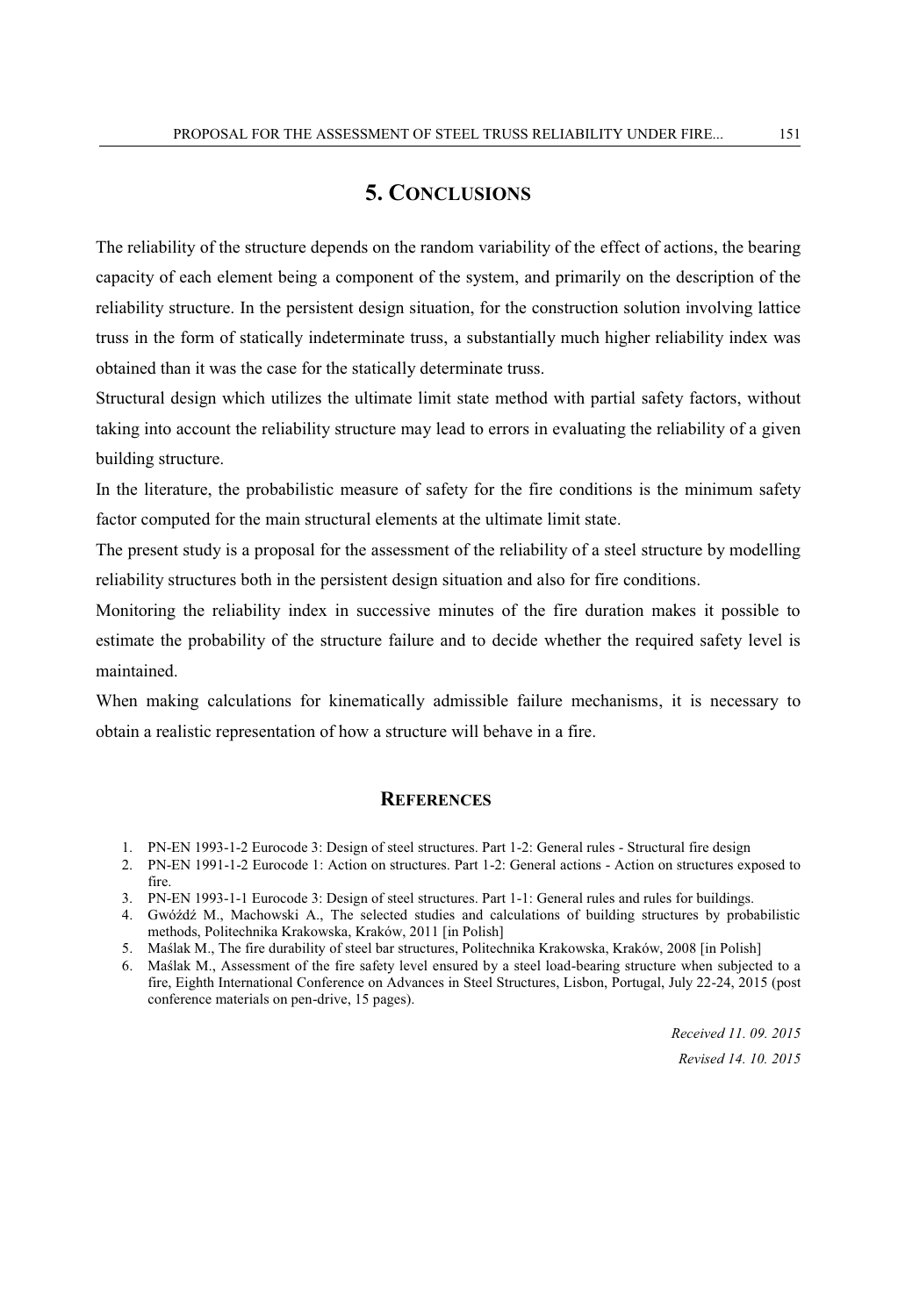# **5. CONCLUSIONS**

The reliability of the structure depends on the random variability of the effect of actions, the bearing capacity of each element being a component of the system, and primarily on the description of the reliability structure. In the persistent design situation, for the construction solution involving lattice truss in the form of statically indeterminate truss, a substantially much higher reliability index was obtained than it was the case for the statically determinate truss.

Structural design which utilizes the ultimate limit state method with partial safety factors, without taking into account the reliability structure may lead to errors in evaluating the reliability of a given building structure.

In the literature, the probabilistic measure of safety for the fire conditions is the minimum safety factor computed for the main structural elements at the ultimate limit state.

The present study is a proposal for the assessment of the reliability of a steel structure by modelling reliability structures both in the persistent design situation and also for fire conditions.

Monitoring the reliability index in successive minutes of the fire duration makes it possible to estimate the probability of the structure failure and to decide whether the required safety level is maintained.

When making calculations for kinematically admissible failure mechanisms, it is necessary to obtain a realistic representation of how a structure will behave in a fire.

### **REFERENCES**

- 1. PN-EN 1993-1-2 Eurocode 3: Design of steel structures. Part 1-2: General rules Structural fire design
- 2. PN-EN 1991-1-2 Eurocode 1: Action on structures. Part 1-2: General actions Action on structures exposed to fire.
- 3. PN-EN 1993-1-1 Eurocode 3: Design of steel structures. Part 1-1: General rules and rules for buildings.
- 4. Gwóźdź M., Machowski A., The selected studies and calculations of building structures by probabilistic methods, Politechnika Krakowska, Kraków, 2011 [in Polish]
- 5. Maślak M., The fire durability of steel bar structures, Politechnika Krakowska, Kraków, 2008 [in Polish]
- 6. Maślak M., Assessment of the fire safety level ensured by a steel load-bearing structure when subjected to a fire, Eighth International Conference on Advances in Steel Structures, Lisbon, Portugal, July 22-24, 2015 (post conference materials on pen-drive, 15 pages).

*Received 11. 09. 2015 Revised 14. 10. 2015*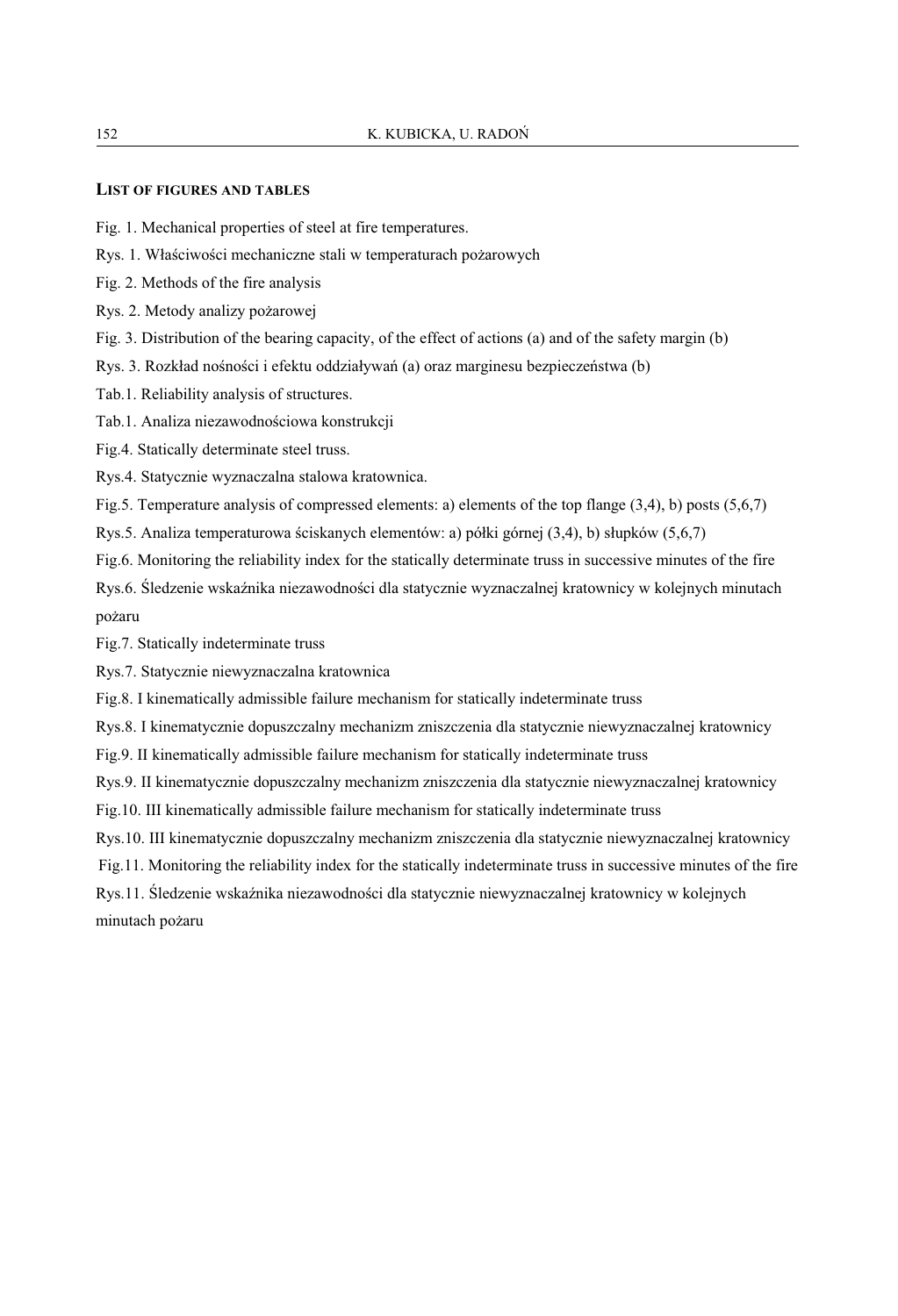### **LIST OF FIGURES AND TABLES**

Fig. 1. Mechanical properties of steel at fire temperatures.

Rys. 1. Właściwości mechaniczne stali w temperaturach pożarowych

Fig. 2. Methods of the fire analysis

Rys. 2. Metody analizy pożarowej

Fig. 3. Distribution of the bearing capacity, of the effect of actions (a) and of the safety margin (b)

Rys. 3. Rozkład nośności i efektu oddziaływań (a) oraz marginesu bezpieczeństwa (b)

Tab.1. Reliability analysis of structures.

Tab.1. Analiza niezawodnościowa konstrukcji

Fig.4. Statically determinate steel truss.

Rys.4. Statycznie wyznaczalna stalowa kratownica.

Fig.5. Temperature analysis of compressed elements: a) elements of the top flange (3,4), b) posts (5,6,7)

Rys.5. Analiza temperaturowa ściskanych elementów: a) półki górnej (3,4), b) słupków (5,6,7)

Fig.6. Monitoring the reliability index for the statically determinate truss in successive minutes of the fire

Rys.6. Śledzenie wskaźnika niezawodności dla statycznie wyznaczalnej kratownicy w kolejnych minutach pożaru

Fig.7. Statically indeterminate truss

Rys.7. Statycznie niewyznaczalna kratownica

Fig.8. I kinematically admissible failure mechanism for statically indeterminate truss

Rys.8. I kinematycznie dopuszczalny mechanizm zniszczenia dla statycznie niewyznaczalnej kratownicy

Fig.9. II kinematically admissible failure mechanism for statically indeterminate truss

Rys.9. II kinematycznie dopuszczalny mechanizm zniszczenia dla statycznie niewyznaczalnej kratownicy

Fig.10. III kinematically admissible failure mechanism for statically indeterminate truss

Rys.10. III kinematycznie dopuszczalny mechanizm zniszczenia dla statycznie niewyznaczalnej kratownicy

Fig.11. Monitoring the reliability index for the statically indeterminate truss in successive minutes of the fire

Rys.11. Śledzenie wskaźnika niezawodności dla statycznie niewyznaczalnej kratownicy w kolejnych minutach pożaru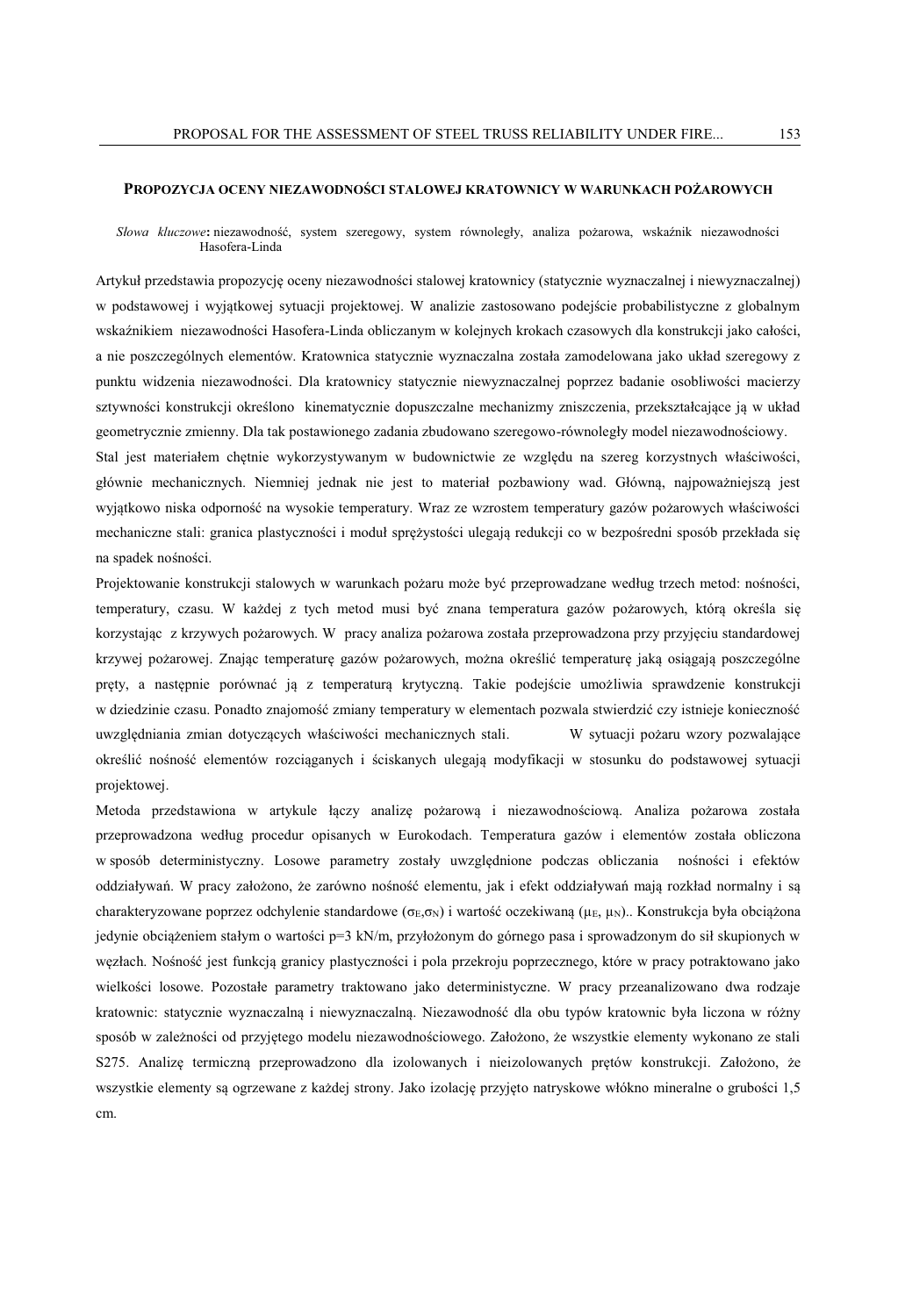#### **PROPOZYCJA OCENY NIEZAWODNOŚCI STALOWEJ KRATOWNICY W WARUNKACH POŻAROWYCH**

*Słowa kluczowe***:** niezawodność, system szeregowy, system równoległy, analiza pożarowa, wskaźnik niezawodności Hasofera-Linda

Artykuł przedstawia propozycję oceny niezawodności stalowej kratownicy (statycznie wyznaczalnej i niewyznaczalnej) w podstawowej i wyjątkowej sytuacji projektowej. W analizie zastosowano podejście probabilistyczne z globalnym wskaźnikiem niezawodności Hasofera-Linda obliczanym w kolejnych krokach czasowych dla konstrukcji jako całości, a nie poszczególnych elementów. Kratownica statycznie wyznaczalna została zamodelowana jako układ szeregowy z punktu widzenia niezawodności. Dla kratownicy statycznie niewyznaczalnej poprzez badanie osobliwości macierzy sztywności konstrukcji określono kinematycznie dopuszczalne mechanizmy zniszczenia, przekształcające ją w układ geometrycznie zmienny. Dla tak postawionego zadania zbudowano szeregowo-równoległy model niezawodnościowy.

Stal jest materiałem chętnie wykorzystywanym w budownictwie ze względu na szereg korzystnych właściwości, głównie mechanicznych. Niemniej jednak nie jest to materiał pozbawiony wad. Główną, najpoważniejszą jest wyjątkowo niska odporność na wysokie temperatury. Wraz ze wzrostem temperatury gazów pożarowych właściwości mechaniczne stali: granica plastyczności i moduł sprężystości ulegają redukcji co w bezpośredni sposób przekłada się na spadek nośności.

Projektowanie konstrukcji stalowych w warunkach pożaru może być przeprowadzane według trzech metod: nośności, temperatury, czasu. W każdej z tych metod musi być znana temperatura gazów pożarowych, którą określa się korzystając z krzywych pożarowych. W pracy analiza pożarowa została przeprowadzona przy przyjęciu standardowej krzywej pożarowej. Znając temperaturę gazów pożarowych, można określić temperaturę jaką osiągają poszczególne pręty, a następnie porównać ją z temperaturą krytyczną. Takie podejście umożliwia sprawdzenie konstrukcji w dziedzinie czasu. Ponadto znajomość zmiany temperatury w elementach pozwala stwierdzić czy istnieje konieczność uwzględniania zmian dotyczących właściwości mechanicznych stali. W sytuacji pożaru wzory pozwalające określić nośność elementów rozciąganych i ściskanych ulegają modyfikacji w stosunku do podstawowej sytuacji projektowej.

Metoda przedstawiona w artykule łączy analizę pożarową i niezawodnościową. Analiza pożarowa została przeprowadzona według procedur opisanych w Eurokodach. Temperatura gazów i elementów została obliczona w sposób deterministyczny. Losowe parametry zostały uwzględnione podczas obliczania nośności i efektów oddziaływań. W pracy założono, że zarówno nośność elementu, jak i efekt oddziaływań mają rozkład normalny i są charakteryzowane poprzez odchylenie standardowe (σ<sub>E</sub>,σ<sub>N</sub>) i wartość oczekiwaną (μ<sub>E</sub>, μ<sub>N</sub>).. Konstrukcja była obciążona jedynie obciążeniem stałym o wartości p=3 kN/m, przyłożonym do górnego pasa i sprowadzonym do sił skupionych w węzłach. Nośność jest funkcją granicy plastyczności i pola przekroju poprzecznego, które w pracy potraktowano jako wielkości losowe. Pozostałe parametry traktowano jako deterministyczne. W pracy przeanalizowano dwa rodzaje kratownic: statycznie wyznaczalną i niewyznaczalną. Niezawodność dla obu typów kratownic była liczona w różny sposób w zależności od przyjętego modelu niezawodnościowego. Założono, że wszystkie elementy wykonano ze stali S275. Analizę termiczną przeprowadzono dla izolowanych i nieizolowanych prętów konstrukcji. Założono, że wszystkie elementy są ogrzewane z każdej strony. Jako izolację przyjęto natryskowe włókno mineralne o grubości 1,5 cm.